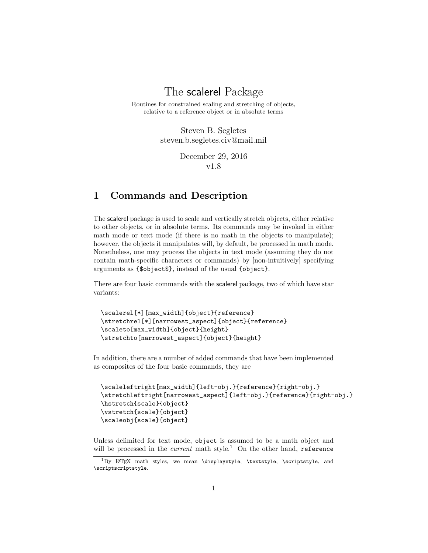## The scalerel Package

Routines for constrained scaling and stretching of objects, relative to a reference object or in absolute terms

> Steven B. Segletes steven.b.segletes.civ@mail.mil

> > December 29, 2016 v1.8

#### 1 Commands and Description

The scalerel package is used to scale and vertically stretch objects, either relative to other objects, or in absolute terms. Its commands may be invoked in either math mode or text mode (if there is no math in the objects to manipulate); however, the objects it manipulates will, by default, be processed in math mode. Nonetheless, one may process the objects in text mode (assuming they do not contain math-specific characters or commands) by [non-intuitively] specifying arguments as {\$object\$}, instead of the usual {object}.

There are four basic commands with the scalerel package, two of which have star variants:

```
\scalerel[*][max_width]{object}{reference}
\stretchrel[*][narrowest_aspect]{object}{reference}
\scaleto[max_width]{object}{height}
\stretchto[narrowest_aspect]{object}{height}
```
In addition, there are a number of added commands that have been implemented as composites of the four basic commands, they are

```
\scaleleftright[max_width]{left-obj.}{reference}{right-obj.}
\stretchleftright[narrowest_aspect]{left-obj.}{reference}{right-obj.}
\hstretch{scale}{object}
\vstretch{scale}{object}
\scaleobj{scale}{object}
```
Unless delimited for text mode, object is assumed to be a math object and will be processed in the *current* math style.<sup>1</sup> On the other hand, reference

 ${}^{1}$ By LATEX math styles, we mean \displaystyle, \textstyle, \scriptstyle, and \scriptscriptstyle.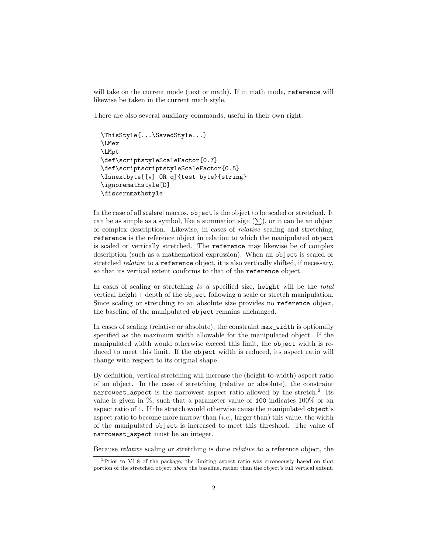will take on the current mode (text or math). If in math mode, reference will likewise be taken in the current math style.

There are also several auxiliary commands, useful in their own right:

```
\ThisStyle{...\SavedStyle...}
\LMex
\LMpt
\def\scriptstyleScaleFactor{0.7}
\def\scriptscriptstyleScaleFactor{0.5}
\Isnextbyte[[v] OR q]{test byte}{string}
\ignoremathstyle[D]
\discernmathstyle
```
In the case of all scalerel macros, object is the object to be scaled or stretched. It can be as simple as a symbol, like a summation sign  $(\sum)$ , or it can be an object of complex description. Likewise, in cases of relative scaling and stretching, reference is the reference object in relation to which the manipulated object is scaled or vertically stretched. The reference may likewise be of complex description (such as a mathematical expression). When an object is scaled or stretched *relative* to a **reference** object, it is also vertically shifted, if necessary, so that its vertical extent conforms to that of the reference object.

In cases of scaling or stretching to a specified size, height will be the total vertical height + depth of the object following a scale or stretch manipulation. Since scaling or stretching to an absolute size provides no reference object, the baseline of the manipulated object remains unchanged.

In cases of scaling (relative or absolute), the constraint max\_width is optionally specified as the maximum width allowable for the manipulated object. If the manipulated width would otherwise exceed this limit, the object width is reduced to meet this limit. If the object width is reduced, its aspect ratio will change with respect to its original shape.

By definition, vertical stretching will increase the (height-to-width) aspect ratio of an object. In the case of stretching (relative or absolute), the constraint  $\texttt{narrowest\_aspect}$  is the narrowest aspect ratio allowed by the stretch.<sup>2</sup> Its value is given in %, such that a parameter value of 100 indicates 100% or an aspect ratio of 1. If the stretch would otherwise cause the manipulated object's aspect ratio to become more narrow than  $(i.e.,\text{larger than})$  this value, the width of the manipulated object is increased to meet this threshold. The value of narrowest\_aspect must be an integer.

Because relative scaling or stretching is done relative to a reference object, the

<sup>2</sup>Prior to V1.8 of the package, the limiting aspect ratio was erroneously based on that portion of the stretched object above the baseline, rather than the object's full vertical extent.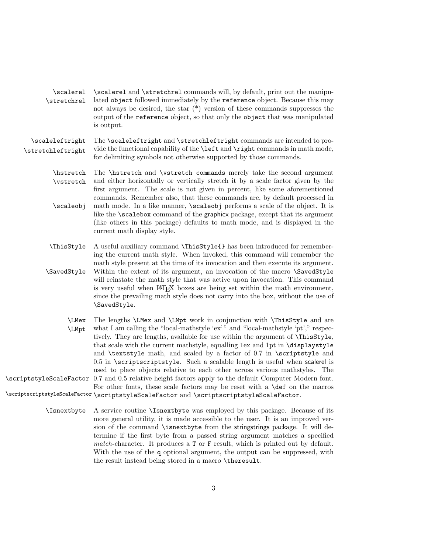|                           | \scalere1 \scalere1 and \stretchre1 commands will, by default, print out the manipu- |
|---------------------------|--------------------------------------------------------------------------------------|
| <i><b>\stretchrel</b></i> | lated object followed immediately by the reference object. Because this may          |
|                           | not always be desired, the star $(*)$ version of these commands suppresses the       |
|                           | output of the reference object, so that only the object that was manipulated         |
|                           | is output.                                                                           |

\scaleleftright The \scaleleftright and \stretchleftright commands are intended to pro- \stretchleftright vide the functional capability of the \left and \right commands in math mode, for delimiting symbols not otherwise supported by those commands.

- \hstretch The \hstretch and \vstretch commands merely take the second argument \vstretch and either horizontally or vertically stretch it by a scale factor given by the first argument. The scale is not given in percent, like some aforementioned commands. Remember also, that these commands are, by default processed in \scaleobj math mode. In a like manner, \scaleobj performs a scale of the object. It is like the \scalebox command of the graphicx package, except that its argument (like others in this package) defaults to math mode, and is displayed in the current math display style.
- \ThisStyle A useful auxiliary command \ThisStyle{} has been introduced for remembering the current math style. When invoked, this command will remember the math style present at the time of its invocation and then execute its argument. \SavedStyle Within the extent of its argument, an invocation of the macro \SavedStyle will reinstate the math style that was active upon invocation. This command is very useful when LAT<sub>EX</sub> boxes are being set within the math environment, since the prevailing math style does not carry into the box, without the use of \SavedStyle.
- \LMex The lengths \LMex and \LMpt work in conjunction with \ThisStyle and are \LMpt what I am calling the "local-mathstyle 'ex' " and "local-mathstyle 'pt'," respectively. They are lengths, available for use within the argument of \ThisStyle, that scale with the current mathstyle, equalling 1ex and 1pt in \displaystyle and \textstyle math, and scaled by a factor of 0.7 in \scriptstyle and  $0.5$  in  $\scr$ scriptscriptstyle. Such a scalable length is useful when scalerel is used to place objects relative to each other across various mathstyles. The \scriptstyleScaleFactor 0.7 and 0.5 relative height factors apply to the default Computer Modern font. For other fonts, these scale factors may be reset with a \def on the macros \scriptscriptstyleScaleFactor \scriptstyleScaleFactor and \scriptscriptstyleScaleFactor.
	- \Isnextbyte A service routine \Isnextbyte was employed by this package. Because of its more general utility, it is made accessible to the user. It is an improved version of the command \isnextbyte from the stringstrings package. It will determine if the first byte from a passed string argument matches a specified match-character. It produces a T or F result, which is printed out by default. With the use of the q optional argument, the output can be suppressed, with the result instead being stored in a macro \theresult.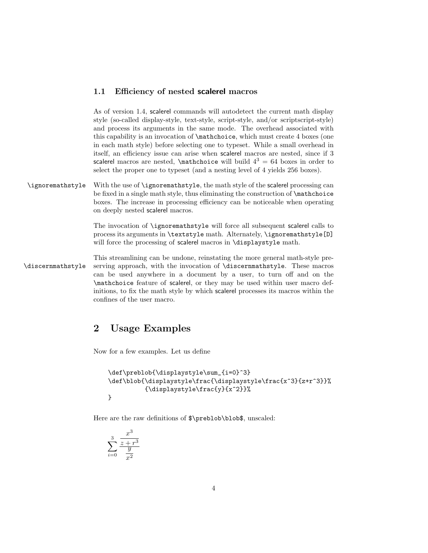#### 1.1 Efficiency of nested scalerel macros

As of version 1.4, scalerel commands will autodetect the current math display style (so-called display-style, text-style, script-style, and/or scriptscript-style) and process its arguments in the same mode. The overhead associated with this capability is an invocation of \mathchoice, which must create 4 boxes (one in each math style) before selecting one to typeset. While a small overhead in itself, an efficiency issue can arise when scalerel macros are nested, since if 3 scalerel macros are nested,  $\mathcal{L}$  hathchoice will build  $4^3 = 64$  boxes in order to select the proper one to typeset (and a nesting level of 4 yields 256 boxes).

\ignoremathstyle With the use of \ignoremathstyle, the math style of the scalerel processing can be fixed in a single math style, thus eliminating the construction of \mathchoice boxes. The increase in processing efficiency can be noticeable when operating on deeply nested scalerel macros.

> The invocation of \ignoremathstyle will force all subsequent scalerel calls to process its arguments in \textstyle math. Alternately, \ignoremathstyle[D] will force the processing of scalerel macros in \displaystyle math.

This streamlining can be undone, reinstating the more general math-style pre- \discernmathstyle serving approach, with the invocation of \discernmathstyle. These macros can be used anywhere in a document by a user, to turn off and on the \mathchoice feature of scalerel, or they may be used within user macro definitions, to fix the math style by which scalerel processes its macros within the confines of the user macro.

#### 2 Usage Examples

Now for a few examples. Let us define

```
\def\preblob{\displaystyle\sum_{i=0}^3}
\def\blob{\displaystyle\frac{\displaystyle\frac{x^3}{z+r^3}}%
          {\displaystyle\frac{y}{x^2}}%
}
```
Here are the raw definitions of  $\preceq$  hereblob $\boldsymbol{\delta}$ , unscaled:

$$
\sum_{i=0}^{3} \frac{x^3}{\frac{z+r^3}{y^2}}
$$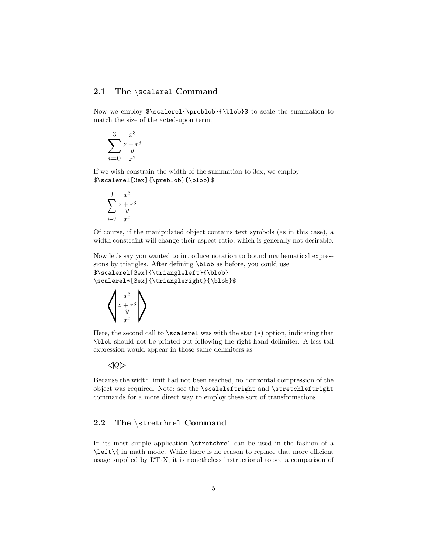#### 2.1 The \scalerel Command

Now we employ \$\scalerel{\preblob}{\blob}\$ to scale the summation to match the size of the acted-upon term:

$$
\sum_{i=0}^{3} \frac{x^3}{\frac{z+r^3}{y^2}}
$$

If we wish constrain the width of the summation to 3ex, we employ \$\scalerel[3ex]{\preblob}{\blob}\$

$$
\sum_{i=0}^{3} \frac{x^3}{\frac{z+r^3}{x^2}}
$$

Of course, if the manipulated object contains text symbols (as in this case), a width constraint will change their aspect ratio, which is generally not desirable.

Now let's say you wanted to introduce notation to bound mathematical expressions by triangles. After defining \blob as before, you could use \$\scalerel[3ex]{\triangleleft}{\blob}

\scalerel\*[3ex]{\triangleright}{\blob}\$



Here, the second call to  $\succeq$  scalerel was with the star  $(*)$  option, indicating that \blob should not be printed out following the right-hand delimiter. A less-tall expression would appear in those same delimiters as

 $\triangleleft Q\triangleright$ 

Because the width limit had not been reached, no horizontal compression of the object was required. Note: see the \scaleleftright and \stretchleftright commands for a more direct way to employ these sort of transformations.

#### 2.2 The \stretchrel Command

In its most simple application \stretchrel can be used in the fashion of a \left\{ in math mode. While there is no reason to replace that more efficient usage supplied by LATEX, it is nonetheless instructional to see a comparison of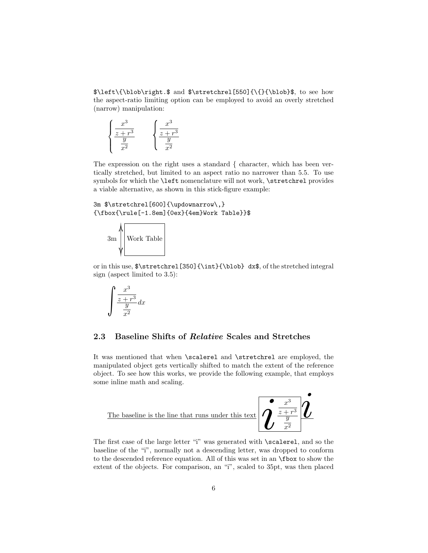\$\left\{\blob\right.\$ and \$\stretchrel[550]{\{}{\blob}\$, to see how the aspect-ratio limiting option can be employed to avoid an overly stretched (narrow) manipulation:

$$
\begin{cases}\n\frac{x^3}{z+r^3} \\
\frac{y}{x^2}\n\end{cases}\n\qquad\n\begin{cases}\n\frac{x^3}{z+r^3} \\
\frac{y}{x^2}\n\end{cases}
$$

The expression on the right uses a standard { character, which has been vertically stretched, but limited to an aspect ratio no narrower than 5.5. To use symbols for which the \left nomenclature will not work, \stretchrel provides a viable alternative, as shown in this stick-figure example:

3m \$\stretchrel[600]{\updownarrow\,} {\fbox{\rule[-1.8em]{0ex}{4em}Work Table}}\$



or in this use, \$\stretchrel[350]{\int}{\blob} dx\$, of the stretched integral sign (aspect limited to 3.5):

$$
\int \frac{x^3}{\frac{z+r^3}{x^2}} dx
$$

#### 2.3 Baseline Shifts of Relative Scales and Stretches

It was mentioned that when \scalerel and \stretchrel are employed, the manipulated object gets vertically shifted to match the extent of the reference object. To see how this works, we provide the following example, that employs some inline math and scaling.



The first case of the large letter "i" was generated with \scalerel, and so the baseline of the "i", normally not a descending letter, was dropped to conform to the descended reference equation. All of this was set in an \fbox to show the extent of the objects. For comparison, an "i", scaled to 35pt, was then placed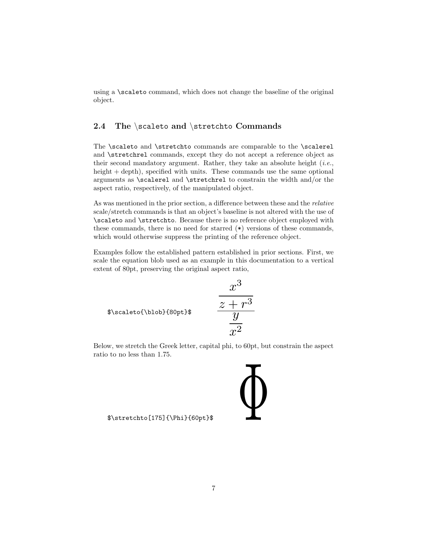using a \scaleto command, which does not change the baseline of the original object.

#### 2.4 The \scaleto and \stretchto Commands

The \scaleto and \stretchto commands are comparable to the \scalerel and \stretchrel commands, except they do not accept a reference object as their second mandatory argument. Rather, they take an absolute height  $(i.e.,$ height + depth), specified with units. These commands use the same optional arguments as \scalerel and \stretchrel to constrain the width and/or the aspect ratio, respectively, of the manipulated object.

As was mentioned in the prior section, a difference between these and the relative scale/stretch commands is that an object's baseline is not altered with the use of \scaleto and \stretchto. Because there is no reference object employed with these commands, there is no need for starred (\*) versions of these commands, which would otherwise suppress the printing of the reference object.

Examples follow the established pattern established in prior sections. First, we scale the equation blob used as an example in this documentation to a vertical extent of 80pt, preserving the original aspect ratio,

$$
\begin{array}{cc}\n x^3 \\
\hline\n z + r^3 \\
 \hline\n y\n\end{array}
$$

Below, we stretch the Greek letter, capital phi, to 60pt, but constrain the aspect ratio to no less than 1.75.

\$\stretchto[175]{\Phi}{60pt}\$ Φ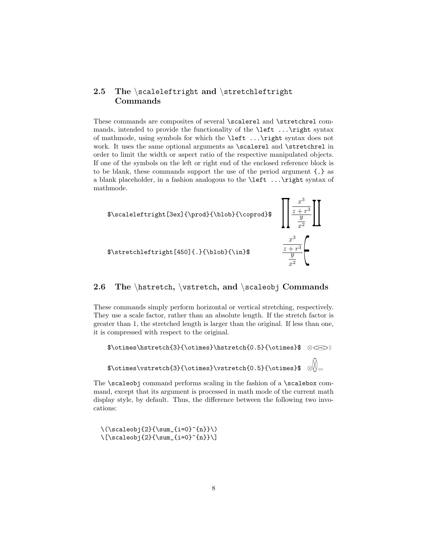#### 2.5 The \scaleleftright and \stretchleftright Commands

These commands are composites of several \scalerel and \stretchrel commands, intended to provide the functionality of the \left ...\right syntax of mathmode, using symbols for which the \left ...\right syntax does not work. It uses the same optional arguments as **\scalerel** and **\stretchrel** in order to limit the width or aspect ratio of the respective manipulated objects. If one of the symbols on the left or right end of the enclosed reference block is to be blank, these commands support the use of the period argument {.} as a blank placeholder, in a fashion analogous to the \left ...\right syntax of mathmode.



#### 2.6 The \hstretch, \vstretch, and \scaleobj Commands

These commands simply perform horizontal or vertical stretching, respectively. They use a scale factor, rather than an absolute length. If the stretch factor is greater than 1, the stretched length is larger than the original. If less than one, it is compressed with respect to the original.

```
$\otimes\hstretch{3}{\otimes}\hstretch{0.5}{\otimes}$ ⊗⊗⊗
$\otimes\vstretch{3}{\otimes}\vstretch{0.5}{\otimes}$ ⊗⊗⊗
```
The \scaleobj command performs scaling in the fashion of a \scalebox command, except that its argument is processed in math mode of the current math display style, by default. Thus, the difference between the following two invocations:

 $\(\\c{2}{\sum_{i=0}^{n}}\)\$  $\label{eq:2} $$\[\scaleobj{2}{\sum_{i=0}^{n}}\]$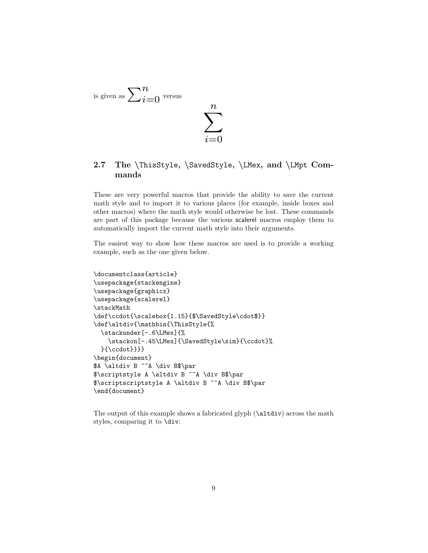

#### 2.7 The \ThisStyle, \SavedStyle, \LMex, and \LMpt Commands

These are very powerful macros that provide the ability to save the current math style and to import it to various places (for example, inside boxes and other macros) where the math style would otherwise be lost. These commands are part of this package because the various scalerel macros employ them to automatically import the current math style into their arguments.

The easiest way to show how these macros are used is to provide a working example, such as the one given below.

```
\documentclass{article}
\usepackage{stackengine}
\usepackage{graphicx}
\usepackage{scalerel}
\stackMath
\def\ccdot{\scalebox{1.15}{$\SavedStyle\cdot$}}
\def\altdiv{\mathbin{\ThisStyle{%
 \stackunder[-.6\LMex]{%
    \stackon[-.45\LMex]{\SavedStyle\sim}{\ccdot}%
 }{\ccdot}}}}
\begin{document}
$A \altdiv B ~~A \div B$\par
$\scriptstyle A \altdiv B ~~A \div B$\par
$\scriptscriptstyle A \altdiv B ~~A \div B$\par
\end{document}
```
The output of this example shows a fabricated glyph (\altdiv) across the math styles, comparing it to \div: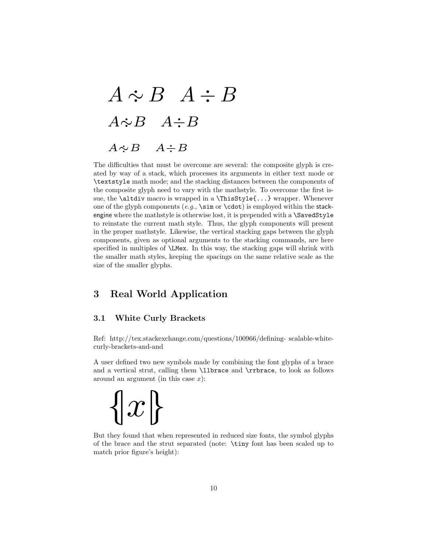# A ∼·  $\therefore B \quad A \div B$  $A\dot{\sim}B$   $A\div B$  $A \sim$  $A \doteq B$

The difficulties that must be overcome are several: the composite glyph is created by way of a stack, which processes its arguments in either text mode or \textstyle math mode; and the stacking distances between the components of the composite glyph need to vary with the mathstyle. To overcome the first issue, the \altdiv macro is wrapped in a \ThisStyle{...} wrapper. Whenever one of the glyph components (e.g.,  $\sin$  or  $\cdot$ cdot) is employed within the stackengine where the mathstyle is otherwise lost, it is prepended with a \SavedStyle to reinstate the current math style. Thus, the glyph components will present in the proper mathstyle. Likewise, the vertical stacking gaps between the glyph components, given as optional arguments to the stacking commands, are here specified in multiples of \LMex. In this way, the stacking gaps will shrink with the smaller math styles, keeping the spacings on the same relative scale as the size of the smaller glyphs.

#### 3 Real World Application

#### 3.1 White Curly Brackets

Ref: http://tex.stackexchange.com/questions/100966/defining- scalable-whitecurly-brackets-and-and

A user defined two new symbols made by combining the font glyphs of a brace and a vertical strut, calling them \llbrace and \rrbrace, to look as follows around an argument (in this case  $x$ ):

 $\{x\}$ 

But they found that when represented in reduced size fonts, the symbol glyphs of the brace and the strut separated (note: \tiny font has been scaled up to match prior figure's height):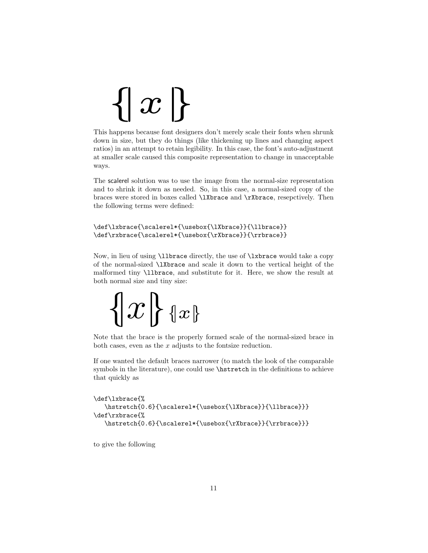# $\{|x|\}$

This happens because font designers don't merely scale their fonts when shrunk down in size, but they do things (like thickening up lines and changing aspect ratios) in an attempt to retain legibility. In this case, the font's auto-adjustment at smaller scale caused this composite representation to change in unacceptable ways.

The scalerel solution was to use the image from the normal-size representation and to shrink it down as needed. So, in this case, a normal-sized copy of the braces were stored in boxes called \lXbrace and \rXbrace, resepctively. Then the following terms were defined:

```
\def\lxbrace{\scalerel*{\usebox{\lXbrace}}{\llbrace}}
\def\rxbrace{\scalerel*{\usebox{\rXbrace}}{\rrbrace}}
```
Now, in lieu of using \llbrace directly, the use of \lxbrace would take a copy of the normal-sized \lXbrace and scale it down to the vertical height of the malformed tiny \llbrace, and substitute for it. Here, we show the result at both normal size and tiny size:

```
\{|x|\} {x\}
```
Note that the brace is the properly formed scale of the normal-sized brace in both cases, even as the  $x$  adjusts to the fontsize reduction.

If one wanted the default braces narrower (to match the look of the comparable symbols in the literature), one could use \hstretch in the definitions to achieve that quickly as

```
\def\lxbrace{%
   \label{th:rel} $$\hstretch{0.6}{\scalerel*}{\usebox{\ll}Xbrace}}{\llbracket}\def\rxbrace{%
   \hstretch{0.6}{\scalerel*{\usebox{\rXbrace}}{\rrbrace}}}
```
to give the following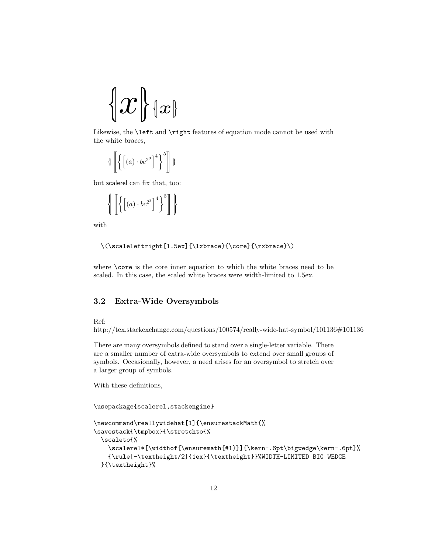$$
\big\{\hspace{-1pt}\{x\}\!\mid_{\mathscr{X}}\hspace{-1pt}\}
$$

Likewise, the **\left** and **\right** features of equation mode cannot be used with the white braces,

$$
\left\{ \left[ \left\{ \left[ \left( a\right) \cdot bc^{2^{3}}\right] ^{4}\right\} ^{5}\right] \right\}
$$

but scalerel can fix that, too:

$$
\left\{ \left[ \left\{ \left[ \left( a\right) \cdot bc^{2^{3}}\right] ^{4}\right\} ^{5}\right] \right\}
$$

with

```
\(\scaleleftright[1.5ex]{\lxbrace}{\core}{\rxbrace}\)
```
where **\core** is the core inner equation to which the white braces need to be scaled. In this case, the scaled white braces were width-limited to 1.5ex.

#### 3.2 Extra-Wide Oversymbols

Ref:

http://tex.stackexchange.com/questions/100574/really-wide-hat-symbol/101136#101136

There are many oversymbols defined to stand over a single-letter variable. There are a smaller number of extra-wide oversymbols to extend over small groups of symbols. Occasionally, however, a need arises for an oversymbol to stretch over a larger group of symbols.

With these definitions,

\usepackage{scalerel,stackengine}

```
\newcommand\reallywidehat[1]{\ensurestackMath{%
\savestack{\tmpbox}{\stretchto{%
 \scaleto{%
    \scalerel*[\widthof{\ensuremath{#1}}]{\kern-.6pt\bigwedge\kern-.6pt}%
    {\rule[-\textheight/2]{1ex}{\textheight}}%WIDTH-LIMITED BIG WEDGE
 }{\textheight}%
```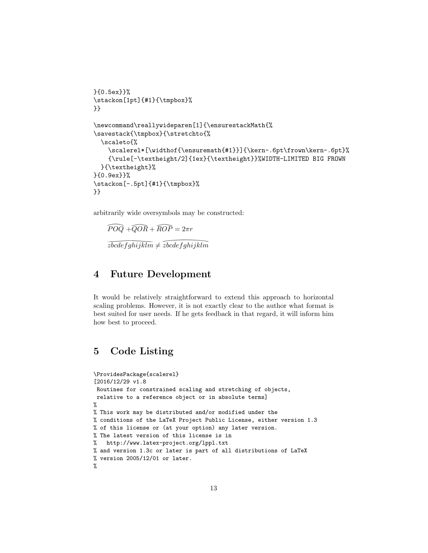```
}{0.5ex}}%
\stackon[1pt]{#1}{\tmpbox}%
}}
\newcommand\reallywideparen[1]{\ensurestackMath{%
\savestack{\tmpbox}{\stretchto{%
  \scaleto{%
    \scalerel*[\widthof{\ensuremath{#1}}]{\kern-.6pt\frown\kern-.6pt}%
    {\rule[-\textheight/2]{1ex}{\textheight}}%WIDTH-LIMITED BIG FROWN
  }{\textheight}%
}{0.9ex}}%
\stackon[-.5pt]{#1}{\tmpbox}%
}}
```
arbitrarily wide oversymbols may be constructed:

trarily wide ov $\widehat{POQ} + \widehat{QOR}$  $\widehat{QOR} + \widehat{ROP} = 2\pi r$ xtrarily wide oversymbols may be contrary<br>  $\widehat{POQ} + \widehat{QOR} + \widehat{ROP} = 2\pi r$ <br>  $\widehat{zbcdefghijklm} \neq \widehat{zbcdefghijklm}$ 

# $\overline{zbcdefghijklm}$  ;<br> **Future De**<br>
would be relatively 4 Future Development

It would be relatively straightforward to extend this approach to horizontal scaling problems. However, it is not exactly clear to the author what format is best suited for user needs. If he gets feedback in that regard, it will inform him how best to proceed.

## 5 Code Listing

```
\ProvidesPackage{scalerel}
[2016/12/29 v1.8
Routines for constrained scaling and stretching of objects,
relative to a reference object or in absolute terms]
%
% This work may be distributed and/or modified under the
% conditions of the LaTeX Project Public License, either version 1.3
% of this license or (at your option) any later version.
% The latest version of this license is in
% http://www.latex-project.org/lppl.txt
% and version 1.3c or later is part of all distributions of LaTeX
% version 2005/12/01 or later.
%
```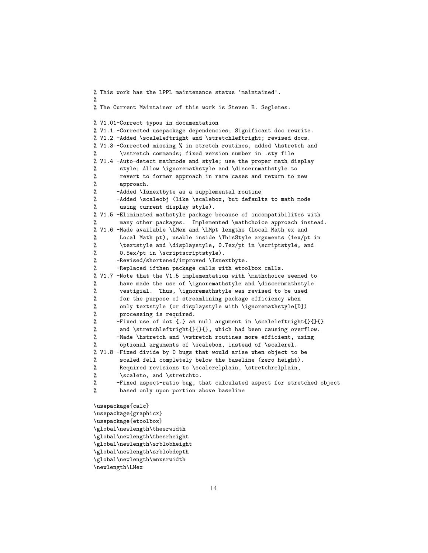```
% This work has the LPPL maintenance status 'maintained'.
%
% The Current Maintainer of this work is Steven B. Segletes.
% V1.01-Correct typos in documentation
% V1.1 -Corrected usepackage dependencies; Significant doc rewrite.
% V1.2 -Added \scaleleftright and \stretchleftright; revised docs.
% V1.3 -Corrected missing % in stretch routines, added \hstretch and
% \vstretch commands; fixed version number in .sty file
% V1.4 -Auto-detect mathmode and style; use the proper math display
% style; Allow \ignoremathstyle and \discernmathstyle to
% revert to former approach in rare cases and return to new
% approach.
% -Added \Isnextbyte as a supplemental routine
% -Added \scaleobj (like \scalebox, but defaults to math mode
% using current display style).
% V1.5 -Eliminated mathstyle package because of incompatibilites with
% many other packages. Implemented \mathchoice approach instead.
% V1.6 -Made available \LMex and \LMpt lengths (Local Math ex and
% Local Math pt), usable inside \ThisStyle arguments (1ex/pt in
% \textstyle and \displaystyle, 0.7ex/pt in \scriptstyle, and
% 0.5ex/pt in \scriptscriptstyle).
% -Revised/shortened/improved \Isnextbyte.
% -Replaced ifthen package calls with etoolbox calls.
% V1.7 -Note that the V1.5 implementation with \mathchoice seemed to
% have made the use of \ignoremathstyle and \discernmathstyle
% vestigial. Thus, \ignoremathstyle was revised to be used
% for the purpose of streamlining package efficiency when
% only textstyle (or displaystyle with \ignoremathstyle[D])
% processing is required.
% -Fixed use of dot {.} as null argument in \scaleleftright{}{}{}
% and \stretchleftright{}{}{}, which had been causing overflow.
% -Made \hstretch and \vstretch routines more efficient, using
% optional arguments of \scalebox, instead of \scalerel.
% V1.8 -Fixed divide by 0 bugs that would arise when object to be
% scaled fell completely below the baseline (zero height).
% Required revisions to \scalerelplain, \stretchrelplain,
% \scaleto, and \stretchto.
% -Fixed aspect-ratio bug, that calculated aspect for stretched object
% based only upon portion above baseline
\usepackage{calc}
\usepackage{graphicx}
\usepackage{etoolbox}
\global\newlength\thesrwidth
\global\newlength\thesrheight
\global\newlength\srblobheight
\global\newlength\srblobdepth
```

```
\global\newlength\mnxsrwidth
```

```
\newlength\LMex
```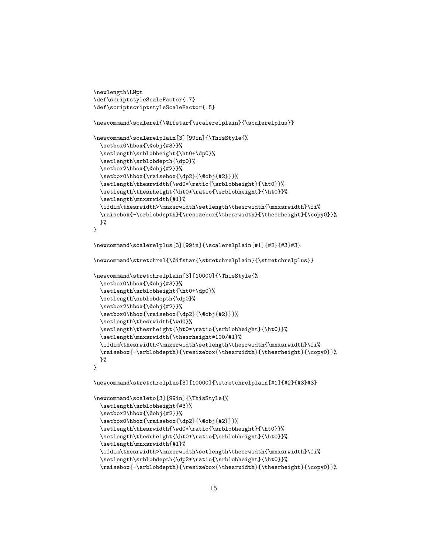```
\newlength\LMpt
\def\scriptstyleScaleFactor{.7}
\def\scriptscriptstyleScaleFactor{.5}
\newcommand\scalerel{\@ifstar{\scalerelplain}{\scalerelplus}}
\newcommand\scalerelplain[3][99in]{\ThisStyle{%
  \setbox0\hbox{\@obj{#3}}%
  \setlength\srblobheight{\ht0+\dp0}%
  \setlength\srblobdepth{\dp0}%
  \setbox2\hbox{\@obj{#2}}%
  \setbox0\hbox{\raisebox{\dp2}{\@obj{#2}}}%
  \setlength\thesrwidth{\wd0*\ratio{\srblobheight}{\ht0}}%
  \setlength\thesrheight{\ht0*\ratio{\srblobheight}{\ht0}}%
  \setlength\mnxsrwidth{#1}%
  \ifdim\thesrwidth>\mnxsrwidth\setlength\thesrwidth{\mnxsrwidth}\fi%
  \raisebox{-\srblobdepth}{\resizebox{\thesrwidth}{\thesrheight}{\copy0}}%
  }%
}
\newcommand\scalerelplus[3][99in]{\scalerelplain[#1]{#2}{#3}#3}
\newcommand\stretchrel{\@ifstar{\stretchrelplain}{\stretchrelplus}}
\newcommand\stretchrelplain[3][10000]{\ThisStyle{%
  \setbox0\hbox{\@obj{#3}}%
  \setlength\srblobheight{\ht0+\dp0}%
  \setlength\srblobdepth{\dp0}%
  \setbox2\hbox{\@obj{#2}}%
  \setbox0\hbox{\raisebox{\dp2}{\@obj{#2}}}%
  \setlength\thesrwidth{\wd0}%
  \setlength\thesrheight{\ht0*\ratio{\srblobheight}{\ht0}}%
  \setlength\mnxsrwidth{\thesrheight*100/#1}%
  \ifdim\thesrwidth<\mnxsrwidth\setlength\thesrwidth{\mnxsrwidth}\fi%
  \raisebox{-\srblobdepth}{\resizebox{\thesrwidth}{\thesrheight}{\copy0}}%
  }%
}
\newcommand\stretchrelplus[3][10000]{\stretchrelplain[#1]{#2}{#3}#3}
\newcommand\scaleto[3][99in]{\ThisStyle{%
  \setlength\srblobheight{#3}%
  \setbox2\hbox{\@obj{#2}}%
  \setbox0\hbox{\raisebox{\dp2}{\@obj{#2}}}%
  \setlength\thesrwidth{\wd0*\ratio{\srblobheight}{\ht0}}%
  \setlength\thesrheight{\ht0*\ratio{\srblobheight}{\ht0}}%
  \setlength\mnxsrwidth{#1}%
  \ifdim\thesrwidth>\mnxsrwidth\setlength\thesrwidth{\mnxsrwidth}\fi%
```

```
\setlength\srblobdepth{\dp2*\ratio{\srblobheight}{\ht0}}%
```

```
\raisebox{-\srblobdepth}{\resizebox{\thesrwidth}{\thesrheight}{\copy0}}%
```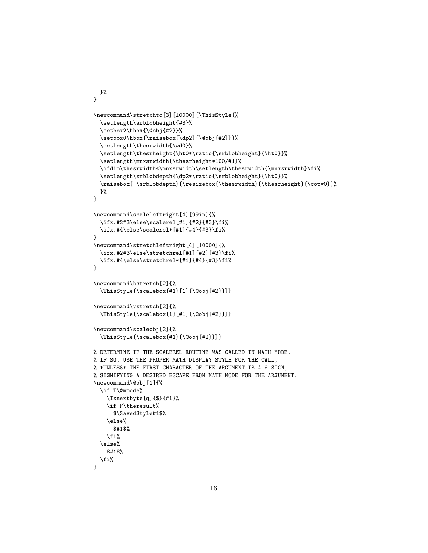```
}%
}
\newcommand\stretchto[3][10000]{\ThisStyle{%
  \setlength\srblobheight{#3}%
  \setbox2\hbox{\@obj{#2}}%
  \setbox0\hbox{\raisebox{\dp2}{\@obj{#2}}}%
  \setlength\thesrwidth{\wd0}%
  \setlength\thesrheight{\ht0*\ratio{\srblobheight}{\ht0}}%
  \setlength\mnxsrwidth{\thesrheight*100/#1}%
  \ifdim\thesrwidth<\mnxsrwidth\setlength\thesrwidth{\mnxsrwidth}\fi%
  \setlength\srblobdepth{\dp2*\ratio{\srblobheight}{\ht0}}%
  \raisebox{-\srblobdepth}{\resizebox{\thesrwidth}{\thesrheight}{\copy0}}%
  }%
}
\newcommand\scaleleftright[4][99in]{%
  \ifx.#2#3\else\scalerel[#1]{#2}{#3}\fi%
  \ifx.#4\else\scalerel*[#1]{#4}{#3}\fi%
}
\newcommand\stretchleftright[4][10000]{%
  \ifx.#2#3\else\stretchrel[#1]{#2}{#3}\fi%
  \label{thm:main} $$\if x.*4\else\stretchrel*[#1]{#4}{#4}{#3}\if i}
\newcommand\hstretch[2]{%
  \ThisStyle{\scalebox{#1}[1]{\@obj{#2}}}}
\newcommand\vstretch[2]{%
  \ThisStyle{\scalebox{1}[#1]{\@obj{#2}}}}
\newcommand\scaleobj[2]{%
  \ThisStyle{\scalebox{#1}{\@obj{#2}}}}
% DETERMINE IF THE SCALEREL ROUTINE WAS CALLED IN MATH MODE.
% IF SO, USE THE PROPER MATH DISPLAY STYLE FOR THE CALL,
% *UNLESS* THE FIRST CHARACTER OF THE ARGUMENT IS A $ SIGN,
% SIGNIFYING A DESIRED ESCAPE FROM MATH MODE FOR THE ARGUMENT.
\newcommand\@obj[1]{%
  \if T\@mmode%
    \Isnextbyte[q]{$}{#1}%
    \if F\theresult%
      $\SavedStyle#1$%
    \else%
      $#1$%
    \fi%
  \else%
    $#1$%
  \fi%
}
```